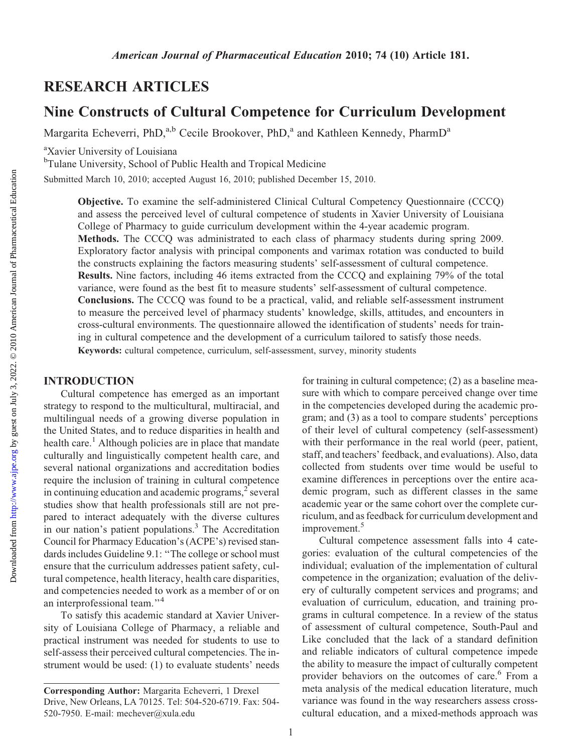# RESEARCH ARTICLES

# Nine Constructs of Cultural Competence for Curriculum Development

Margarita Echeverri, PhD,<sup>a,b</sup> Cecile Brookover, PhD,<sup>a</sup> and Kathleen Kennedy, PharmD<sup>a</sup>

a Xavier University of Louisiana

<sup>b</sup>Tulane University, School of Public Health and Tropical Medicine

Submitted March 10, 2010; accepted August 16, 2010; published December 15, 2010.

Objective. To examine the self-administered Clinical Cultural Competency Questionnaire (CCCQ) and assess the perceived level of cultural competence of students in Xavier University of Louisiana College of Pharmacy to guide curriculum development within the 4-year academic program. Methods. The CCCQ was administrated to each class of pharmacy students during spring 2009. Exploratory factor analysis with principal components and varimax rotation was conducted to build the constructs explaining the factors measuring students' self-assessment of cultural competence. Results. Nine factors, including 46 items extracted from the CCCQ and explaining 79% of the total variance, were found as the best fit to measure students' self-assessment of cultural competence. Conclusions. The CCCQ was found to be a practical, valid, and reliable self-assessment instrument to measure the perceived level of pharmacy students' knowledge, skills, attitudes, and encounters in cross-cultural environments. The questionnaire allowed the identification of students' needs for training in cultural competence and the development of a curriculum tailored to satisfy those needs. Keywords: cultural competence, curriculum, self-assessment, survey, minority students

### INTRODUCTION

Cultural competence has emerged as an important strategy to respond to the multicultural, multiracial, and multilingual needs of a growing diverse population in the United States, and to reduce disparities in health and health care.<sup>1</sup> Although policies are in place that mandate culturally and linguistically competent health care, and several national organizations and accreditation bodies require the inclusion of training in cultural competence in continuing education and academic programs, $\frac{2}{3}$  several studies show that health professionals still are not prepared to interact adequately with the diverse cultures in our nation's patient populations. $3$  The Accreditation Council for Pharmacy Education's (ACPE's) revised standards includes Guideline 9.1: ''The college or school must ensure that the curriculum addresses patient safety, cultural competence, health literacy, health care disparities, and competencies needed to work as a member of or on an interprofessional team.''<sup>4</sup>

To satisfy this academic standard at Xavier University of Louisiana College of Pharmacy, a reliable and practical instrument was needed for students to use to self-assess their perceived cultural competencies. The instrument would be used: (1) to evaluate students' needs for training in cultural competence; (2) as a baseline measure with which to compare perceived change over time in the competencies developed during the academic program; and (3) as a tool to compare students' perceptions of their level of cultural competency (self-assessment) with their performance in the real world (peer, patient, staff, and teachers' feedback, and evaluations). Also, data collected from students over time would be useful to examine differences in perceptions over the entire academic program, such as different classes in the same academic year or the same cohort over the complete curriculum, and as feedback for curriculum development and improvement.<sup>5</sup>

Cultural competence assessment falls into 4 categories: evaluation of the cultural competencies of the individual; evaluation of the implementation of cultural competence in the organization; evaluation of the delivery of culturally competent services and programs; and evaluation of curriculum, education, and training programs in cultural competence. In a review of the status of assessment of cultural competence, South-Paul and Like concluded that the lack of a standard definition and reliable indicators of cultural competence impede the ability to measure the impact of culturally competent provider behaviors on the outcomes of care.<sup>6</sup> From a meta analysis of the medical education literature, much variance was found in the way researchers assess crosscultural education, and a mixed-methods approach was

Corresponding Author: Margarita Echeverri, 1 Drexel Drive, New Orleans, LA 70125. Tel: 504-520-6719. Fax: 504- 520-7950. E-mail: mechever@xula.edu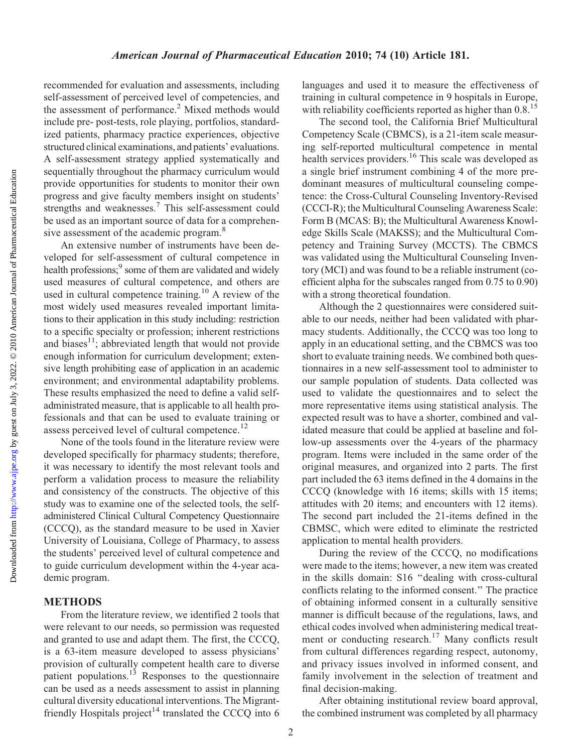recommended for evaluation and assessments, including self-assessment of perceived level of competencies, and the assessment of performance.<sup>2</sup> Mixed methods would include pre- post-tests, role playing, portfolios, standardized patients, pharmacy practice experiences, objective structured clinical examinations, and patients' evaluations. A self-assessment strategy applied systematically and sequentially throughout the pharmacy curriculum would provide opportunities for students to monitor their own progress and give faculty members insight on students' strengths and weaknesses.<sup>7</sup> This self-assessment could be used as an important source of data for a comprehensive assessment of the academic program.<sup>8</sup>

An extensive number of instruments have been developed for self-assessment of cultural competence in health professions;<sup>9</sup> some of them are validated and widely used measures of cultural competence, and others are used in cultural competence training.<sup>10</sup> A review of the most widely used measures revealed important limitations to their application in this study including: restriction to a specific specialty or profession; inherent restrictions and biases $11$ ; abbreviated length that would not provide enough information for curriculum development; extensive length prohibiting ease of application in an academic environment; and environmental adaptability problems. These results emphasized the need to define a valid selfadministrated measure, that is applicable to all health professionals and that can be used to evaluate training or assess perceived level of cultural competence.<sup>12</sup>

None of the tools found in the literature review were developed specifically for pharmacy students; therefore, it was necessary to identify the most relevant tools and perform a validation process to measure the reliability and consistency of the constructs. The objective of this study was to examine one of the selected tools, the selfadministered Clinical Cultural Competency Questionnaire (CCCQ), as the standard measure to be used in Xavier University of Louisiana, College of Pharmacy, to assess the students' perceived level of cultural competence and to guide curriculum development within the 4-year academic program.

## **METHODS**

From the literature review, we identified 2 tools that were relevant to our needs, so permission was requested and granted to use and adapt them. The first, the CCCQ, is a 63-item measure developed to assess physicians' provision of culturally competent health care to diverse patient populations.<sup>13</sup> Responses to the questionnaire can be used as a needs assessment to assist in planning cultural diversity educational interventions. The Migrantfriendly Hospitals project<sup>14</sup> translated the CCCQ into  $6$ 

languages and used it to measure the effectiveness of training in cultural competence in 9 hospitals in Europe, with reliability coefficients reported as higher than  $0.8$ <sup>15</sup>

The second tool, the California Brief Multicultural Competency Scale (CBMCS), is a 21-item scale measuring self-reported multicultural competence in mental health services providers.<sup>16</sup> This scale was developed as a single brief instrument combining 4 of the more predominant measures of multicultural counseling competence: the Cross-Cultural Counseling Inventory-Revised (CCCI-R); the Multicultural Counseling Awareness Scale: Form B (MCAS: B); the Multicultural Awareness Knowledge Skills Scale (MAKSS); and the Multicultural Competency and Training Survey (MCCTS). The CBMCS was validated using the Multicultural Counseling Inventory (MCI) and was found to be a reliable instrument (coefficient alpha for the subscales ranged from 0.75 to 0.90) with a strong theoretical foundation.

Although the 2 questionnaires were considered suitable to our needs, neither had been validated with pharmacy students. Additionally, the CCCQ was too long to apply in an educational setting, and the CBMCS was too short to evaluate training needs. We combined both questionnaires in a new self-assessment tool to administer to our sample population of students. Data collected was used to validate the questionnaires and to select the more representative items using statistical analysis. The expected result was to have a shorter, combined and validated measure that could be applied at baseline and follow-up assessments over the 4-years of the pharmacy program. Items were included in the same order of the original measures, and organized into 2 parts. The first part included the 63 items defined in the 4 domains in the CCCQ (knowledge with 16 items; skills with 15 items; attitudes with 20 items; and encounters with 12 items). The second part included the 21-items defined in the CBMSC, which were edited to eliminate the restricted application to mental health providers.

During the review of the CCCQ, no modifications were made to the items; however, a new item was created in the skills domain: S16 ''dealing with cross-cultural conflicts relating to the informed consent.'' The practice of obtaining informed consent in a culturally sensitive manner is difficult because of the regulations, laws, and ethical codes involved when administering medical treatment or conducting research.<sup>17</sup> Many conflicts result from cultural differences regarding respect, autonomy, and privacy issues involved in informed consent, and family involvement in the selection of treatment and final decision-making.

After obtaining institutional review board approval, the combined instrument was completed by all pharmacy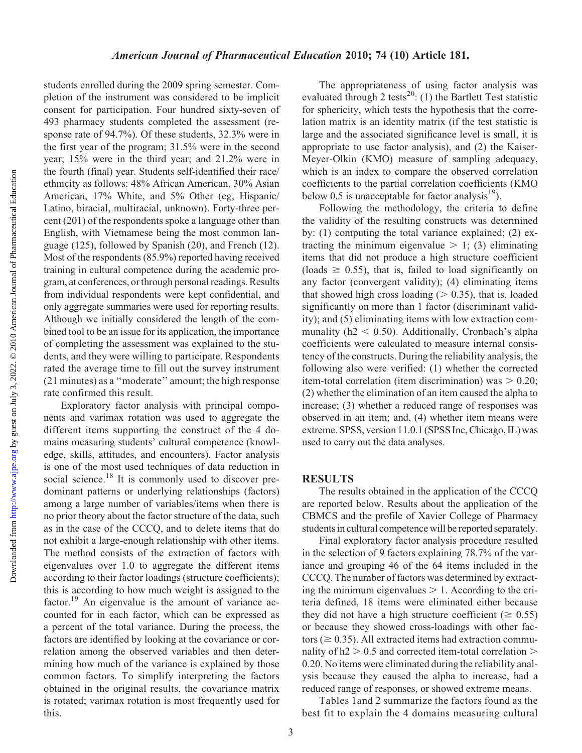students enrolled during the 2009 spring semester. Completion of the instrument was considered to be implicit consent for participation. Four hundred sixty-seven of 493 pharmacy students completed the assessment (response rate of 94.7%). Of these students, 32.3% were in the first year of the program; 31.5% were in the second year; 15% were in the third year; and 21.2% were in the fourth (final) year. Students self-identified their race/ ethnicity as follows: 48% African American, 30% Asian American, 17% White, and 5% Other (eg, Hispanic/ Latino, biracial, multiracial, unknown). Forty-three percent (201) of the respondents spoke a language other than English, with Vietnamese being the most common language (125), followed by Spanish (20), and French (12). Most of the respondents (85.9%) reported having received training in cultural competence during the academic program, at conferences, or through personal readings. Results from individual respondents were kept confidential, and only aggregate summaries were used for reporting results. Although we initially considered the length of the combined tool to be an issue for its application, the importance of completing the assessment was explained to the students, and they were willing to participate. Respondents rated the average time to fill out the survey instrument (21 minutes) as a ''moderate'' amount; the high response rate confirmed this result.

Exploratory factor analysis with principal components and varimax rotation was used to aggregate the different items supporting the construct of the 4 domains measuring students' cultural competence (knowledge, skills, attitudes, and encounters). Factor analysis is one of the most used techniques of data reduction in social science.<sup>18</sup> It is commonly used to discover predominant patterns or underlying relationships (factors) among a large number of variables/items when there is no prior theory about the factor structure of the data, such as in the case of the CCCQ, and to delete items that do not exhibit a large-enough relationship with other items. The method consists of the extraction of factors with eigenvalues over 1.0 to aggregate the different items according to their factor loadings (structure coefficients); this is according to how much weight is assigned to the  $factor<sup>19</sup>$  An eigenvalue is the amount of variance accounted for in each factor, which can be expressed as a percent of the total variance. During the process, the factors are identified by looking at the covariance or correlation among the observed variables and then determining how much of the variance is explained by those common factors. To simplify interpreting the factors obtained in the original results, the covariance matrix is rotated; varimax rotation is most frequently used for this.

The appropriateness of using factor analysis was evaluated through 2 tests<sup>20</sup>: (1) the Bartlett Test statistic for sphericity, which tests the hypothesis that the correlation matrix is an identity matrix (if the test statistic is large and the associated significance level is small, it is appropriate to use factor analysis), and (2) the Kaiser-Meyer-Olkin (KMO) measure of sampling adequacy, which is an index to compare the observed correlation coefficients to the partial correlation coefficients (KMO below 0.5 is unacceptable for factor analysis $^{19}$ ).

Following the methodology, the criteria to define the validity of the resulting constructs was determined by: (1) computing the total variance explained; (2) extracting the minimum eigenvalue  $> 1$ ; (3) eliminating items that did not produce a high structure coefficient (loads  $\geq$  0.55), that is, failed to load significantly on any factor (convergent validity); (4) eliminating items that showed high cross loading  $(> 0.35)$ , that is, loaded significantly on more than 1 factor (discriminant validity); and (5) eliminating items with low extraction communality ( $h2 < 0.50$ ). Additionally, Cronbach's alpha coefficients were calculated to measure internal consistency of the constructs. During the reliability analysis, the following also were verified: (1) whether the corrected item-total correlation (item discrimination) was  $> 0.20$ ; (2) whether the elimination of an item caused the alpha to increase; (3) whether a reduced range of responses was observed in an item; and, (4) whether item means were extreme. SPSS, version 11.0.1 (SPSS Inc, Chicago, IL) was used to carry out the data analyses.

#### RESULTS

The results obtained in the application of the CCCQ are reported below. Results about the application of the CBMCS and the profile of Xavier College of Pharmacy students in cultural competence will be reported separately.

Final exploratory factor analysis procedure resulted in the selection of 9 factors explaining 78.7% of the variance and grouping 46 of the 64 items included in the CCCQ. The number of factors was determined by extracting the minimum eigenvalues  $> 1$ . According to the criteria defined, 18 items were eliminated either because they did not have a high structure coefficient ( $\geq 0.55$ ) or because they showed cross-loadings with other factors ( $\geq 0.35$ ). All extracted items had extraction communality of  $h2 > 0.5$  and corrected item-total correlation  $>$ 0.20. No items were eliminated during the reliability analysis because they caused the alpha to increase, had a reduced range of responses, or showed extreme means.

Tables 1and 2 summarize the factors found as the best fit to explain the 4 domains measuring cultural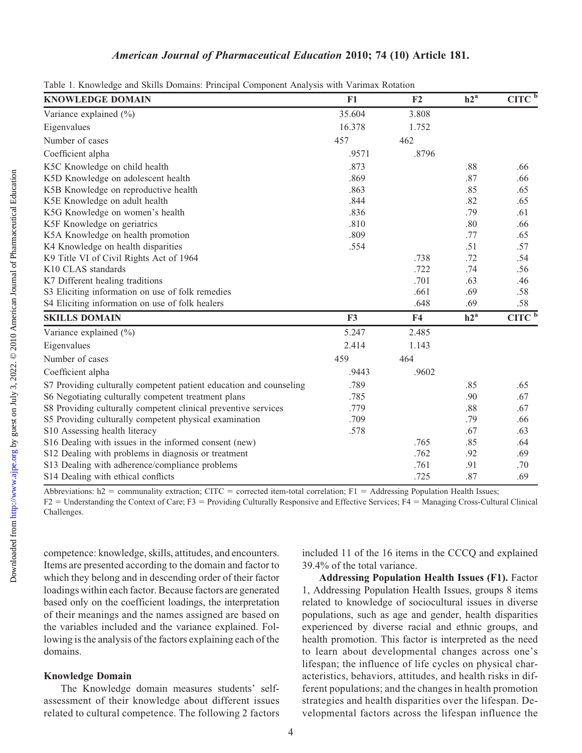## American Journal of Pharmaceutical Education 2010; 74 (10) Article 181.

|  | Table 1. Knowledge and Skills Domains: Principal Component Analysis with Varimax Rotation |
|--|-------------------------------------------------------------------------------------------|
|  |                                                                                           |

| <b>KNOWLEDGE DOMAIN</b>                                            | F1     | F2             | $h2^a$ | $CITC^b$ |
|--------------------------------------------------------------------|--------|----------------|--------|----------|
| Variance explained $(\% )$                                         | 35.604 | 3.808          |        |          |
| Eigenvalues                                                        | 16.378 | 1.752          |        |          |
| Number of cases                                                    | 457    | 462            |        |          |
| Coefficient alpha                                                  | .9571  | .8796          |        |          |
| K5C Knowledge on child health                                      | .873   |                | .88    | .66      |
| K5D Knowledge on adolescent health                                 | .869   |                | .87    | .66      |
| K5B Knowledge on reproductive health                               | .863   |                | .85    | .65      |
| K5E Knowledge on adult health                                      | .844   |                | .82    | .65      |
| K5G Knowledge on women's health                                    | .836   |                | .79    | .61      |
| K5F Knowledge on geriatrics                                        | .810   |                | .80    | .66      |
| K5A Knowledge on health promotion                                  | .809   |                | .77    | .65      |
| K4 Knowledge on health disparities                                 | .554   |                | .51    | .57      |
| K9 Title VI of Civil Rights Act of 1964                            |        | .738           | .72    | .54      |
| K <sub>10</sub> CLAS standards                                     |        | .722           | .74    | .56      |
| K7 Different healing traditions                                    |        | .701           | .63    | .46      |
| S3 Eliciting information on use of folk remedies                   |        | .661           | .69    | .58      |
| S4 Eliciting information on use of folk healers                    |        | .648           | .69    | .58      |
| <b>SKILLS DOMAIN</b>                                               | F3     | F <sub>4</sub> | $h2^a$ | $CITC^b$ |
| Variance explained $(\% )$                                         | 5.247  | 2.485          |        |          |
| Eigenvalues                                                        | 2.414  | 1.143          |        |          |
| Number of cases                                                    | 459    | 464            |        |          |
| Coefficient alpha                                                  | .9443  | .9602          |        |          |
| S7 Providing culturally competent patient education and counseling | .789   |                | .85    | .65      |
| S6 Negotiating culturally competent treatment plans                | .785   |                | .90    | .67      |
| S8 Providing culturally competent clinical preventive services     | .779   |                | .88    | .67      |
| S5 Providing culturally competent physical examination             | .709   |                | .79    | .66      |
| S10 Assessing health literacy                                      | .578   |                | .67    | .63      |
| S16 Dealing with issues in the informed consent (new)              |        | .765           | .85    | .64      |
| S12 Dealing with problems in diagnosis or treatment                |        | .762           | .92    | .69      |
| S13 Dealing with adherence/compliance problems                     |        | .761           | .91    | .70      |
| S14 Dealing with ethical conflicts                                 |        | .725           | .87    | .69      |

Abbreviations:  $h2 =$  communality extraction; CITC = corrected item-total correlation; F1 = Addressing Population Health Issues;  $F2 =$  Understanding the Context of Care;  $F3 =$  Providing Culturally Responsive and Effective Services;  $F4 =$  Managing Cross-Cultural Clinical Challenges.

competence: knowledge, skills, attitudes, and encounters. Items are presented according to the domain and factor to which they belong and in descending order of their factor loadings within each factor. Because factors are generated based only on the coefficient loadings, the interpretation of their meanings and the names assigned are based on the variables included and the variance explained. Following is the analysis of the factors explaining each of the domains.

#### Knowledge Domain

The Knowledge domain measures students' selfassessment of their knowledge about different issues related to cultural competence. The following 2 factors

included 11 of the 16 items in the CCCQ and explained 39.4% of the total variance.

Addressing Population Health Issues (F1). Factor 1, Addressing Population Health Issues, groups 8 items related to knowledge of sociocultural issues in diverse populations, such as age and gender, health disparities experienced by diverse racial and ethnic groups, and health promotion. This factor is interpreted as the need to learn about developmental changes across one's lifespan; the influence of life cycles on physical characteristics, behaviors, attitudes, and health risks in different populations; and the changes in health promotion strategies and health disparities over the lifespan. Developmental factors across the lifespan influence the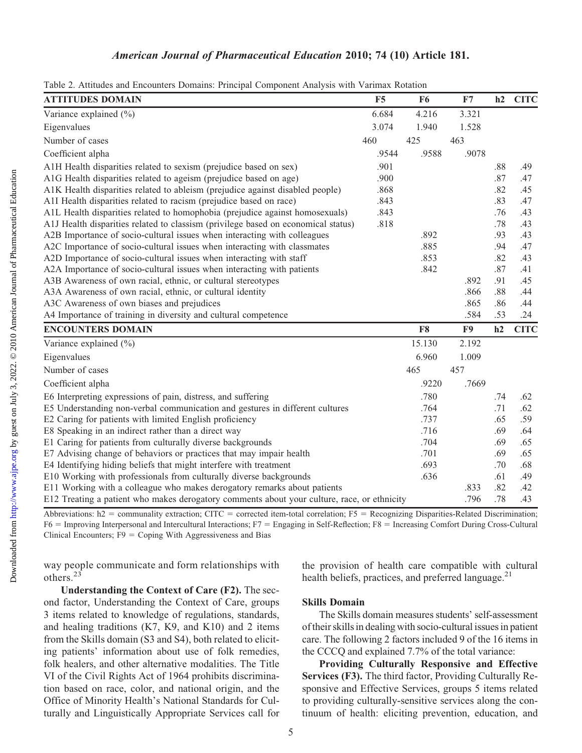| Table 2. Attitudes and Encounters Domains: Principal Component Analysis with Varimax Rotation |  |  |  |
|-----------------------------------------------------------------------------------------------|--|--|--|
|-----------------------------------------------------------------------------------------------|--|--|--|

| <b>ATTITUDES DOMAIN</b>                                                                     | F <sub>5</sub> | F <sub>6</sub> | F7    | h2  | <b>CITC</b> |
|---------------------------------------------------------------------------------------------|----------------|----------------|-------|-----|-------------|
| Variance explained (%)                                                                      | 6.684          | 4.216          | 3.321 |     |             |
| Eigenvalues                                                                                 | 3.074          | 1.940          | 1.528 |     |             |
| Number of cases                                                                             | 460            | 425            | 463   |     |             |
| Coefficient alpha                                                                           | .9544          | .9588          | .9078 |     |             |
| A1H Health disparities related to sexism (prejudice based on sex)                           | .901           |                |       | .88 | .49         |
| A1G Health disparities related to ageism (prejudice based on age)                           | .900           |                |       | .87 | .47         |
| A1K Health disparities related to ableism (prejudice against disabled people)               | .868           |                |       | .82 | .45         |
| A1I Health disparities related to racism (prejudice based on race)                          | .843           |                |       | .83 | .47         |
| A1L Health disparities related to homophobia (prejudice against homosexuals)                | .843           |                |       | .76 | .43         |
| A1J Health disparities related to classism (privilege based on economical status)           | .818           |                |       | .78 | .43         |
| A2B Importance of socio-cultural issues when interacting with colleagues                    |                | .892           |       | .93 | .43         |
| A2C Importance of socio-cultural issues when interacting with classmates                    |                | .885           |       | .94 | .47         |
| A2D Importance of socio-cultural issues when interacting with staff                         |                | .853           |       | .82 | .43         |
| A2A Importance of socio-cultural issues when interacting with patients                      |                | .842           |       | .87 | .41         |
| A3B Awareness of own racial, ethnic, or cultural stereotypes                                |                |                | .892  | .91 | .45         |
| A3A Awareness of own racial, ethnic, or cultural identity                                   |                |                | .866  | .88 | .44         |
| A3C Awareness of own biases and prejudices                                                  |                |                | .865  | .86 | .44         |
| A4 Importance of training in diversity and cultural competence                              |                |                | .584  | .53 | .24         |
| <b>ENCOUNTERS DOMAIN</b>                                                                    |                | F8             | F9    | h2  | <b>CITC</b> |
| Variance explained (%)                                                                      |                | 15.130         | 2.192 |     |             |
| Eigenvalues                                                                                 |                | 6.960          | 1.009 |     |             |
| Number of cases                                                                             |                | 465            | 457   |     |             |
| Coefficient alpha                                                                           |                | .9220          | .7669 |     |             |
| E6 Interpreting expressions of pain, distress, and suffering                                |                | .780           |       | .74 | .62         |
| E5 Understanding non-verbal communication and gestures in different cultures                |                | .764           |       | .71 | .62         |
| E2 Caring for patients with limited English proficiency                                     |                | .737           |       | .65 | .59         |
| E8 Speaking in an indirect rather than a direct way                                         |                | .716           |       | .69 | .64         |
| E1 Caring for patients from culturally diverse backgrounds                                  |                | .704           |       | .69 | .65         |
| E7 Advising change of behaviors or practices that may impair health                         |                | .701           |       | .69 | .65         |
| E4 Identifying hiding beliefs that might interfere with treatment                           |                | .693           |       | .70 | .68         |
| E10 Working with professionals from culturally diverse backgrounds                          |                | .636           |       | .61 | .49         |
| E11 Working with a colleague who makes derogatory remarks about patients                    |                |                | .833  | .82 | .42         |
| E12 Treating a patient who makes derogatory comments about your culture, race, or ethnicity |                |                | .796  | .78 | .43         |

Abbreviations:  $h2 =$  communality extraction; CITC = corrected item-total correlation; F5 = Recognizing Disparities-Related Discrimination;  $F6 =$  Improving Interpersonal and Intercultural Interactions;  $F7 =$  Engaging in Self-Reflection;  $F8 =$  Increasing Comfort During Cross-Cultural Clinical Encounters;  $F9 = Coping With Aggressiveness and Bias$ 

way people communicate and form relationships with others.<sup>23</sup>

Understanding the Context of Care (F2). The second factor, Understanding the Context of Care, groups 3 items related to knowledge of regulations, standards, and healing traditions (K7, K9, and K10) and 2 items from the Skills domain (S3 and S4), both related to eliciting patients' information about use of folk remedies, folk healers, and other alternative modalities. The Title VI of the Civil Rights Act of 1964 prohibits discrimination based on race, color, and national origin, and the Office of Minority Health's National Standards for Culturally and Linguistically Appropriate Services call for

the provision of health care compatible with cultural health beliefs, practices, and preferred language.<sup>21</sup>

#### Skills Domain

The Skills domain measures students' self-assessment of their skills in dealing with socio-cultural issues in patient care. The following 2 factors included 9 of the 16 items in the CCCQ and explained 7.7% of the total variance:

Providing Culturally Responsive and Effective Services (F3). The third factor, Providing Culturally Responsive and Effective Services, groups 5 items related to providing culturally-sensitive services along the continuum of health: eliciting prevention, education, and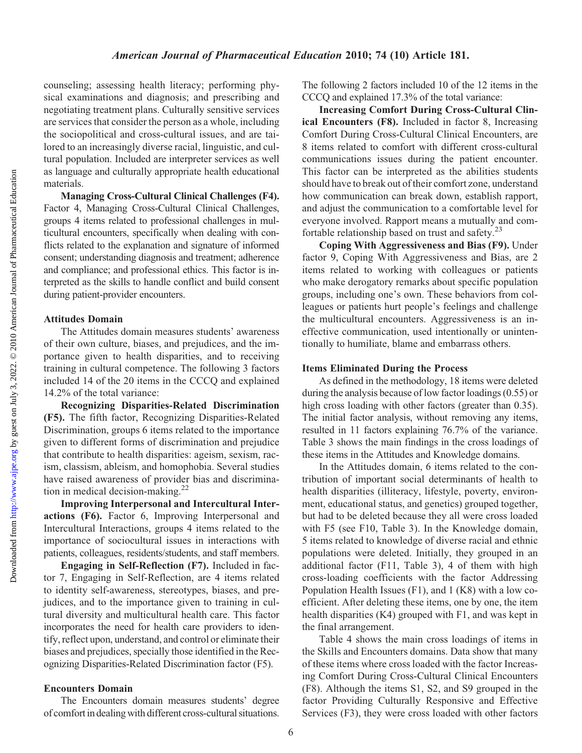counseling; assessing health literacy; performing physical examinations and diagnosis; and prescribing and negotiating treatment plans. Culturally sensitive services are services that consider the person as a whole, including the sociopolitical and cross-cultural issues, and are tailored to an increasingly diverse racial, linguistic, and cultural population. Included are interpreter services as well as language and culturally appropriate health educational materials.

Managing Cross-Cultural Clinical Challenges (F4). Factor 4, Managing Cross-Cultural Clinical Challenges, groups 4 items related to professional challenges in multicultural encounters, specifically when dealing with conflicts related to the explanation and signature of informed consent; understanding diagnosis and treatment; adherence and compliance; and professional ethics. This factor is interpreted as the skills to handle conflict and build consent during patient-provider encounters.

### Attitudes Domain

The Attitudes domain measures students' awareness of their own culture, biases, and prejudices, and the importance given to health disparities, and to receiving training in cultural competence. The following 3 factors included 14 of the 20 items in the CCCQ and explained 14.2% of the total variance:

Recognizing Disparities-Related Discrimination (F5). The fifth factor, Recognizing Disparities-Related Discrimination, groups 6 items related to the importance given to different forms of discrimination and prejudice that contribute to health disparities: ageism, sexism, racism, classism, ableism, and homophobia. Several studies have raised awareness of provider bias and discrimination in medical decision-making.<sup>22</sup>

Improving Interpersonal and Intercultural Interactions (F6). Factor 6, Improving Interpersonal and Intercultural Interactions, groups 4 items related to the importance of sociocultural issues in interactions with patients, colleagues, residents/students, and staff members.

Engaging in Self-Reflection (F7). Included in factor 7, Engaging in Self-Reflection, are 4 items related to identity self-awareness, stereotypes, biases, and prejudices, and to the importance given to training in cultural diversity and multicultural health care. This factor incorporates the need for health care providers to identify, reflect upon, understand, and control or eliminate their biases and prejudices, specially those identified in the Recognizing Disparities-Related Discrimination factor (F5).

### Encounters Domain

The Encounters domain measures students' degree of comfort in dealing with different cross-cultural situations. The following 2 factors included 10 of the 12 items in the CCCQ and explained 17.3% of the total variance:

Increasing Comfort During Cross-Cultural Clinical Encounters (F8). Included in factor 8, Increasing Comfort During Cross-Cultural Clinical Encounters, are 8 items related to comfort with different cross-cultural communications issues during the patient encounter. This factor can be interpreted as the abilities students should have to break out of their comfort zone, understand how communication can break down, establish rapport, and adjust the communication to a comfortable level for everyone involved. Rapport means a mutually and comfortable relationship based on trust and safety.<sup>23</sup>

Coping With Aggressiveness and Bias (F9). Under factor 9, Coping With Aggressiveness and Bias, are 2 items related to working with colleagues or patients who make derogatory remarks about specific population groups, including one's own. These behaviors from colleagues or patients hurt people's feelings and challenge the multicultural encounters. Aggressiveness is an ineffective communication, used intentionally or unintentionally to humiliate, blame and embarrass others.

#### Items Eliminated During the Process

As defined in the methodology, 18 items were deleted during the analysis because of low factor loadings (0.55) or high cross loading with other factors (greater than 0.35). The initial factor analysis, without removing any items, resulted in 11 factors explaining 76.7% of the variance. Table 3 shows the main findings in the cross loadings of these items in the Attitudes and Knowledge domains.

In the Attitudes domain, 6 items related to the contribution of important social determinants of health to health disparities (illiteracy, lifestyle, poverty, environment, educational status, and genetics) grouped together, but had to be deleted because they all were cross loaded with F5 (see F10, Table 3). In the Knowledge domain, 5 items related to knowledge of diverse racial and ethnic populations were deleted. Initially, they grouped in an additional factor (F11, Table 3), 4 of them with high cross-loading coefficients with the factor Addressing Population Health Issues (F1), and 1 (K8) with a low coefficient. After deleting these items, one by one, the item health disparities (K4) grouped with F1, and was kept in the final arrangement.

Table 4 shows the main cross loadings of items in the Skills and Encounters domains. Data show that many of these items where cross loaded with the factor Increasing Comfort During Cross-Cultural Clinical Encounters (F8). Although the items S1, S2, and S9 grouped in the factor Providing Culturally Responsive and Effective Services (F3), they were cross loaded with other factors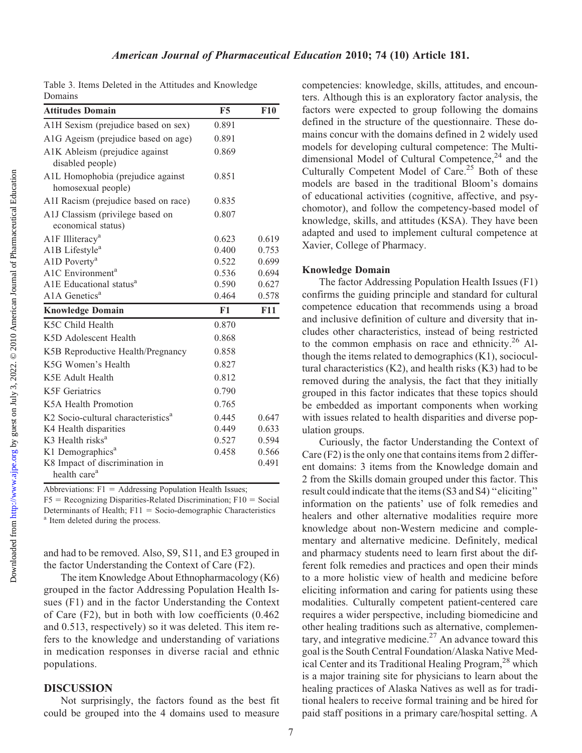| Table 3. Items Deleted in the Attitudes and Knowledge |  |  |  |
|-------------------------------------------------------|--|--|--|
| Domains                                               |  |  |  |

| <b>Attitudes Domain</b>                                    | F5    | <b>F10</b> |
|------------------------------------------------------------|-------|------------|
| A1H Sexism (prejudice based on sex)                        | 0.891 |            |
| A1G Ageism (prejudice based on age)                        | 0.891 |            |
| A1K Ableism (prejudice against<br>disabled people)         | 0.869 |            |
| A1L Homophobia (prejudice against<br>homosexual people)    | 0.851 |            |
| A1I Racism (prejudice based on race)                       | 0.835 |            |
| A1J Classism (privilege based on<br>economical status)     | 0.807 |            |
| A1F Illiteracy <sup>a</sup>                                | 0.623 | 0.619      |
| A1B Lifestyle <sup>a</sup>                                 | 0.400 | 0.753      |
| A1D Poverty <sup>a</sup>                                   | 0.522 | 0.699      |
| A1C Environment <sup>a</sup>                               | 0.536 | 0.694      |
| A1E Educational status <sup>a</sup>                        | 0.590 | 0.627      |
| A1A Genetics <sup>a</sup>                                  | 0.464 | 0.578      |
| <b>Knowledge Domain</b>                                    | F1    | <b>F11</b> |
| K5C Child Health                                           | 0.870 |            |
| K5D Adolescent Health                                      | 0.868 |            |
| K5B Reproductive Health/Pregnancy                          | 0.858 |            |
| K5G Women's Health                                         | 0.827 |            |
| K5E Adult Health                                           | 0.812 |            |
| K5F Geriatrics                                             | 0.790 |            |
| K5A Health Promotion                                       | 0.765 |            |
| K2 Socio-cultural characteristics <sup>a</sup>             | 0.445 | 0.647      |
| K4 Health disparities                                      | 0.449 | 0.633      |
| K3 Health risks <sup>a</sup>                               | 0.527 | 0.594      |
| K1 Demographics <sup>a</sup>                               | 0.458 | 0.566      |
| K8 Impact of discrimination in<br>health care <sup>a</sup> |       | 0.491      |

Abbreviations:  $F1 =$  Addressing Population Health Issues;

 $F5 =$  Recognizing Disparities-Related Discrimination;  $F10 =$  Social Determinants of Health; F11 = Socio-demographic Characteristics  $a$  Item deleted during the process.

and had to be removed. Also, S9, S11, and E3 grouped in the factor Understanding the Context of Care (F2).

The item Knowledge About Ethnopharmacology (K6) grouped in the factor Addressing Population Health Issues (F1) and in the factor Understanding the Context of Care (F2), but in both with low coefficients (0.462 and 0.513, respectively) so it was deleted. This item refers to the knowledge and understanding of variations in medication responses in diverse racial and ethnic populations.

#### DISCUSSION

Not surprisingly, the factors found as the best fit could be grouped into the 4 domains used to measure

competencies: knowledge, skills, attitudes, and encounters. Although this is an exploratory factor analysis, the factors were expected to group following the domains defined in the structure of the questionnaire. These domains concur with the domains defined in 2 widely used models for developing cultural competence: The Multidimensional Model of Cultural Competence, $24$  and the Culturally Competent Model of Care.<sup>25</sup> Both of these models are based in the traditional Bloom's domains of educational activities (cognitive, affective, and psychomotor), and follow the competency-based model of knowledge, skills, and attitudes (KSA). They have been adapted and used to implement cultural competence at Xavier, College of Pharmacy.

### Knowledge Domain

The factor Addressing Population Health Issues (F1) confirms the guiding principle and standard for cultural competence education that recommends using a broad and inclusive definition of culture and diversity that includes other characteristics, instead of being restricted to the common emphasis on race and ethnicity. $26$  Although the items related to demographics (K1), sociocultural characteristics (K2), and health risks (K3) had to be removed during the analysis, the fact that they initially grouped in this factor indicates that these topics should be embedded as important components when working with issues related to health disparities and diverse population groups.

Curiously, the factor Understanding the Context of Care (F2) is the only one that contains items from 2 different domains: 3 items from the Knowledge domain and 2 from the Skills domain grouped under this factor. This result could indicate that the items (S3 and S4) ''eliciting'' information on the patients' use of folk remedies and healers and other alternative modalities require more knowledge about non-Western medicine and complementary and alternative medicine. Definitely, medical and pharmacy students need to learn first about the different folk remedies and practices and open their minds to a more holistic view of health and medicine before eliciting information and caring for patients using these modalities. Culturally competent patient-centered care requires a wider perspective, including biomedicine and other healing traditions such as alternative, complementary, and integrative medicine.<sup>27</sup> An advance toward this goal is the South Central Foundation/Alaska Native Medical Center and its Traditional Healing Program,<sup>28</sup> which is a major training site for physicians to learn about the healing practices of Alaska Natives as well as for traditional healers to receive formal training and be hired for paid staff positions in a primary care/hospital setting. A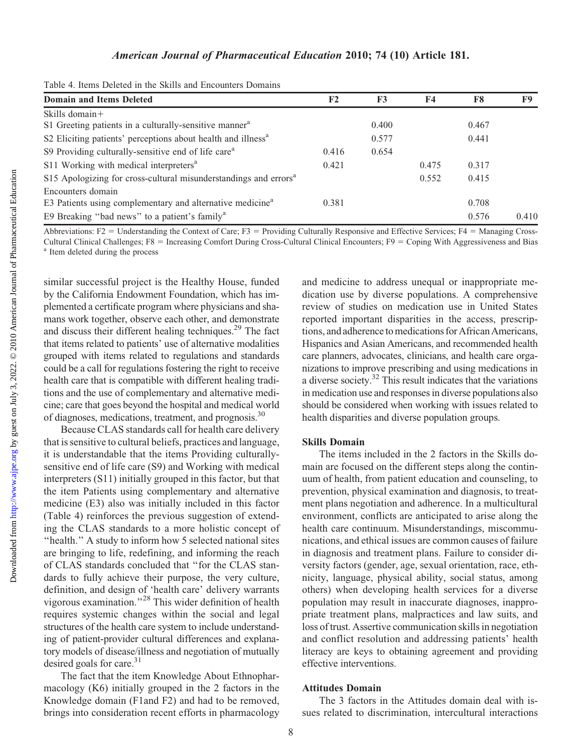<http://www.ajpe.org>

Downloaded from

| American Journal of Pharmaceutical Education 2010; 74 (10) Article 181. |  |  |  |  |
|-------------------------------------------------------------------------|--|--|--|--|
|                                                                         |  |  |  |  |

|  |  |  |  |  | Table 4. Items Deleted in the Skills and Encounters Domains |  |
|--|--|--|--|--|-------------------------------------------------------------|--|
|--|--|--|--|--|-------------------------------------------------------------|--|

| <b>Domain and Items Deleted</b>                                              | F2    | F3    | F <sub>4</sub> | F8    | F9    |
|------------------------------------------------------------------------------|-------|-------|----------------|-------|-------|
| Skills domain $+$                                                            |       |       |                |       |       |
| S1 Greeting patients in a culturally-sensitive manner <sup>a</sup>           |       | 0.400 |                | 0.467 |       |
| S2 Eliciting patients' perceptions about health and illness <sup>a</sup>     |       | 0.577 |                | 0.441 |       |
| S9 Providing culturally-sensitive end of life care <sup>a</sup>              | 0.416 | 0.654 |                |       |       |
| S11 Working with medical interpreters <sup>a</sup>                           | 0.421 |       | 0.475          | 0.317 |       |
| S15 Apologizing for cross-cultural misunderstandings and errors <sup>a</sup> |       |       | 0.552          | 0.415 |       |
| Encounters domain                                                            |       |       |                |       |       |
| E3 Patients using complementary and alternative medicine <sup>a</sup>        | 0.381 |       |                | 0.708 |       |
| E9 Breaking "bad news" to a patient's family <sup>a</sup>                    |       |       |                | 0.576 | 0.410 |

Abbreviations:  $F2 =$  Understanding the Context of Care;  $F3 =$  Providing Culturally Responsive and Effective Services;  $F4 =$  Managing Cross-Cultural Clinical Challenges;  $F8 =$  Increasing Comfort During Cross-Cultural Clinical Encounters;  $F9 =$  Coping With Aggressiveness and Bias  $a$  Item deleted during the process

similar successful project is the Healthy House, funded by the California Endowment Foundation, which has implemented a certificate program where physicians and shamans work together, observe each other, and demonstrate and discuss their different healing techniques.29 The fact that items related to patients' use of alternative modalities grouped with items related to regulations and standards could be a call for regulations fostering the right to receive health care that is compatible with different healing traditions and the use of complementary and alternative medicine; care that goes beyond the hospital and medical world of diagnoses, medications, treatment, and prognosis.30

Because CLAS standards call for health care delivery that is sensitive to cultural beliefs, practices and language, it is understandable that the items Providing culturallysensitive end of life care (S9) and Working with medical interpreters (S11) initially grouped in this factor, but that the item Patients using complementary and alternative medicine (E3) also was initially included in this factor (Table 4) reinforces the previous suggestion of extending the CLAS standards to a more holistic concept of "health." A study to inform how 5 selected national sites are bringing to life, redefining, and informing the reach of CLAS standards concluded that ''for the CLAS standards to fully achieve their purpose, the very culture, definition, and design of 'health care' delivery warrants vigorous examination.''28 This wider definition of health requires systemic changes within the social and legal structures of the health care system to include understanding of patient-provider cultural differences and explanatory models of disease/illness and negotiation of mutually desired goals for care.<sup>31</sup>

The fact that the item Knowledge About Ethnopharmacology (K6) initially grouped in the 2 factors in the Knowledge domain (F1and F2) and had to be removed, brings into consideration recent efforts in pharmacology

and medicine to address unequal or inappropriate medication use by diverse populations. A comprehensive review of studies on medication use in United States reported important disparities in the access, prescriptions, and adherence to medications for African Americans, Hispanics and Asian Americans, and recommended health care planners, advocates, clinicians, and health care organizations to improve prescribing and using medications in a diverse society.<sup>32</sup> This result indicates that the variations in medication use and responses in diverse populations also should be considered when working with issues related to health disparities and diverse population groups.

#### Skills Domain

The items included in the 2 factors in the Skills domain are focused on the different steps along the continuum of health, from patient education and counseling, to prevention, physical examination and diagnosis, to treatment plans negotiation and adherence. In a multicultural environment, conflicts are anticipated to arise along the health care continuum. Misunderstandings, miscommunications, and ethical issues are common causes of failure in diagnosis and treatment plans. Failure to consider diversity factors (gender, age, sexual orientation, race, ethnicity, language, physical ability, social status, among others) when developing health services for a diverse population may result in inaccurate diagnoses, inappropriate treatment plans, malpractices and law suits, and loss of trust. Assertive communication skills in negotiation and conflict resolution and addressing patients' health literacy are keys to obtaining agreement and providing effective interventions.

#### Attitudes Domain

The 3 factors in the Attitudes domain deal with issues related to discrimination, intercultural interactions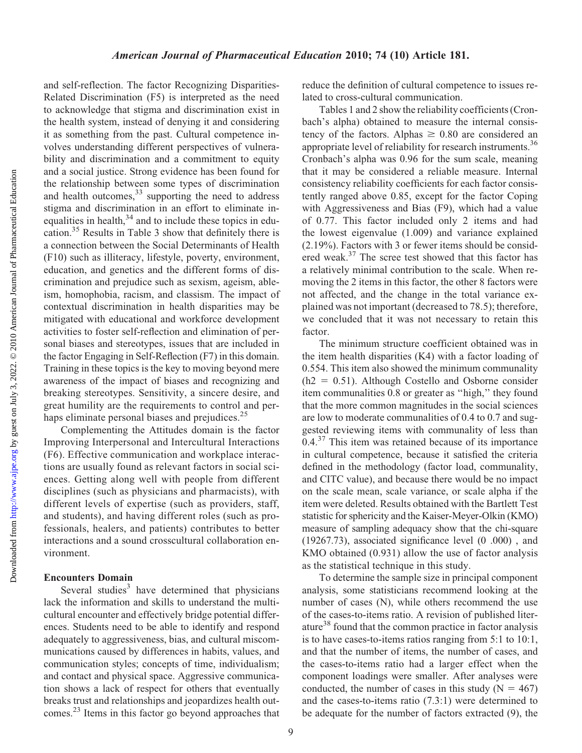and self-reflection. The factor Recognizing Disparities-Related Discrimination (F5) is interpreted as the need to acknowledge that stigma and discrimination exist in the health system, instead of denying it and considering it as something from the past. Cultural competence involves understanding different perspectives of vulnerability and discrimination and a commitment to equity and a social justice. Strong evidence has been found for the relationship between some types of discrimination and health outcomes,  $33$  supporting the need to address stigma and discrimination in an effort to eliminate inequalities in health, $34$  and to include these topics in education.35 Results in Table 3 show that definitely there is a connection between the Social Determinants of Health (F10) such as illiteracy, lifestyle, poverty, environment, education, and genetics and the different forms of discrimination and prejudice such as sexism, ageism, ableism, homophobia, racism, and classism. The impact of contextual discrimination in health disparities may be mitigated with educational and workforce development activities to foster self-reflection and elimination of personal biases and stereotypes, issues that are included in the factor Engaging in Self-Reflection (F7) in this domain. Training in these topics is the key to moving beyond mere awareness of the impact of biases and recognizing and breaking stereotypes. Sensitivity, a sincere desire, and great humility are the requirements to control and perhaps eliminate personal biases and prejudices.<sup>25</sup>

Complementing the Attitudes domain is the factor Improving Interpersonal and Intercultural Interactions (F6). Effective communication and workplace interactions are usually found as relevant factors in social sciences. Getting along well with people from different disciplines (such as physicians and pharmacists), with different levels of expertise (such as providers, staff, and students), and having different roles (such as professionals, healers, and patients) contributes to better interactions and a sound crosscultural collaboration environment.

#### Encounters Domain

Several studies<sup>3</sup> have determined that physicians lack the information and skills to understand the multicultural encounter and effectively bridge potential differences. Students need to be able to identify and respond adequately to aggressiveness, bias, and cultural miscommunications caused by differences in habits, values, and communication styles; concepts of time, individualism; and contact and physical space. Aggressive communication shows a lack of respect for others that eventually breaks trust and relationships and jeopardizes health outcomes.23 Items in this factor go beyond approaches that

reduce the definition of cultural competence to issues related to cross-cultural communication.

Tables 1 and 2 show the reliability coefficients (Cronbach's alpha) obtained to measure the internal consistency of the factors. Alphas  $\geq 0.80$  are considered an appropriate level of reliability for research instruments.<sup>36</sup> Cronbach's alpha was 0.96 for the sum scale, meaning that it may be considered a reliable measure. Internal consistency reliability coefficients for each factor consistently ranged above 0.85, except for the factor Coping with Aggressiveness and Bias (F9), which had a value of 0.77. This factor included only 2 items and had the lowest eigenvalue (1.009) and variance explained (2.19%). Factors with 3 or fewer items should be considered weak.<sup>37</sup> The scree test showed that this factor has a relatively minimal contribution to the scale. When removing the 2 items in this factor, the other 8 factors were not affected, and the change in the total variance explained was not important (decreased to 78.5); therefore, we concluded that it was not necessary to retain this factor.

The minimum structure coefficient obtained was in the item health disparities (K4) with a factor loading of 0.554. This item also showed the minimum communality  $(h2 = 0.51)$ . Although Costello and Osborne consider item communalities 0.8 or greater as ''high,'' they found that the more common magnitudes in the social sciences are low to moderate communalities of 0.4 to 0.7 and suggested reviewing items with communality of less than  $0.4$ .<sup>37</sup> This item was retained because of its importance in cultural competence, because it satisfied the criteria defined in the methodology (factor load, communality, and CITC value), and because there would be no impact on the scale mean, scale variance, or scale alpha if the item were deleted. Results obtained with the Bartlett Test statistic for sphericity and the Kaiser-Meyer-Olkin (KMO) measure of sampling adequacy show that the chi-square (19267.73), associated significance level (0 .000) , and KMO obtained (0.931) allow the use of factor analysis as the statistical technique in this study.

To determine the sample size in principal component analysis, some statisticians recommend looking at the number of cases (N), while others recommend the use of the cases-to-items ratio. A revision of published literature<sup>38</sup> found that the common practice in factor analysis is to have cases-to-items ratios ranging from 5:1 to 10:1, and that the number of items, the number of cases, and the cases-to-items ratio had a larger effect when the component loadings were smaller. After analyses were conducted, the number of cases in this study ( $N = 467$ ) and the cases-to-items ratio (7.3:1) were determined to be adequate for the number of factors extracted (9), the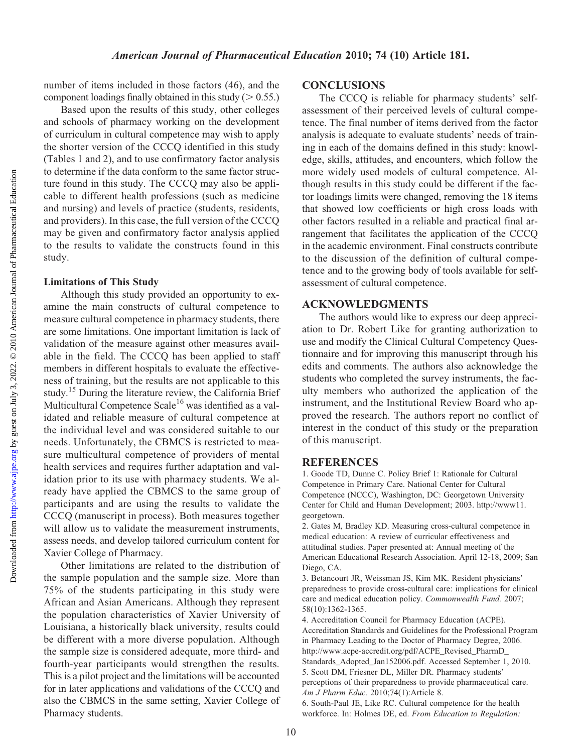number of items included in those factors (46), and the component loadings finally obtained in this study ( $> 0.55$ .)

Based upon the results of this study, other colleges and schools of pharmacy working on the development of curriculum in cultural competence may wish to apply the shorter version of the CCCQ identified in this study (Tables 1 and 2), and to use confirmatory factor analysis to determine if the data conform to the same factor structure found in this study. The CCCQ may also be applicable to different health professions (such as medicine and nursing) and levels of practice (students, residents, and providers). In this case, the full version of the CCCQ may be given and confirmatory factor analysis applied to the results to validate the constructs found in this study.

#### Limitations of This Study

Although this study provided an opportunity to examine the main constructs of cultural competence to measure cultural competence in pharmacy students, there are some limitations. One important limitation is lack of validation of the measure against other measures available in the field. The CCCQ has been applied to staff members in different hospitals to evaluate the effectiveness of training, but the results are not applicable to this study.15 During the literature review, the California Brief Multicultural Competence Scale<sup>16</sup> was identified as a validated and reliable measure of cultural competence at the individual level and was considered suitable to our needs. Unfortunately, the CBMCS is restricted to measure multicultural competence of providers of mental health services and requires further adaptation and validation prior to its use with pharmacy students. We already have applied the CBMCS to the same group of participants and are using the results to validate the CCCQ (manuscript in process). Both measures together will allow us to validate the measurement instruments, assess needs, and develop tailored curriculum content for Xavier College of Pharmacy.

Other limitations are related to the distribution of the sample population and the sample size. More than 75% of the students participating in this study were African and Asian Americans. Although they represent the population characteristics of Xavier University of Louisiana, a historically black university, results could be different with a more diverse population. Although the sample size is considered adequate, more third- and fourth-year participants would strengthen the results. This is a pilot project and the limitations will be accounted for in later applications and validations of the CCCQ and also the CBMCS in the same setting, Xavier College of Pharmacy students.

### CONCLUSIONS

The CCCQ is reliable for pharmacy students' selfassessment of their perceived levels of cultural competence. The final number of items derived from the factor analysis is adequate to evaluate students' needs of training in each of the domains defined in this study: knowledge, skills, attitudes, and encounters, which follow the more widely used models of cultural competence. Although results in this study could be different if the factor loadings limits were changed, removing the 18 items that showed low coefficients or high cross loads with other factors resulted in a reliable and practical final arrangement that facilitates the application of the CCCQ in the academic environment. Final constructs contribute to the discussion of the definition of cultural competence and to the growing body of tools available for selfassessment of cultural competence.

#### ACKNOWLEDGMENTS

The authors would like to express our deep appreciation to Dr. Robert Like for granting authorization to use and modify the Clinical Cultural Competency Questionnaire and for improving this manuscript through his edits and comments. The authors also acknowledge the students who completed the survey instruments, the faculty members who authorized the application of the instrument, and the Institutional Review Board who approved the research. The authors report no conflict of interest in the conduct of this study or the preparation of this manuscript.

#### **REFERENCES**

1. Goode TD, Dunne C. Policy Brief 1: Rationale for Cultural Competence in Primary Care. National Center for Cultural Competence (NCCC), Washington, DC: Georgetown University Center for Child and Human Development; 2003. http://www11. georgetown.

2. Gates M, Bradley KD. Measuring cross-cultural competence in medical education: A review of curricular effectiveness and attitudinal studies. Paper presented at: Annual meeting of the American Educational Research Association. April 12-18, 2009; San Diego, CA.

3. Betancourt JR, Weissman JS, Kim MK. Resident physicians' preparedness to provide cross-cultural care: implications for clinical care and medical education policy. Commonwealth Fund. 2007; 58(10):1362-1365.

4. Accreditation Council for Pharmacy Education (ACPE). Accreditation Standards and Guidelines for the Professional Program in Pharmacy Leading to the Doctor of Pharmacy Degree, 2006. http://www.acpe-accredit.org/pdf/ACPE\_Revised\_PharmD\_ Standards\_Adopted\_Jan152006.pdf. Accessed September 1, 2010. 5. Scott DM, Friesner DL, Miller DR. Pharmacy students' perceptions of their preparedness to provide pharmaceutical care. Am J Pharm Educ. 2010;74(1):Article 8.

6. South-Paul JE, Like RC. Cultural competence for the health workforce. In: Holmes DE, ed. From Education to Regulation: